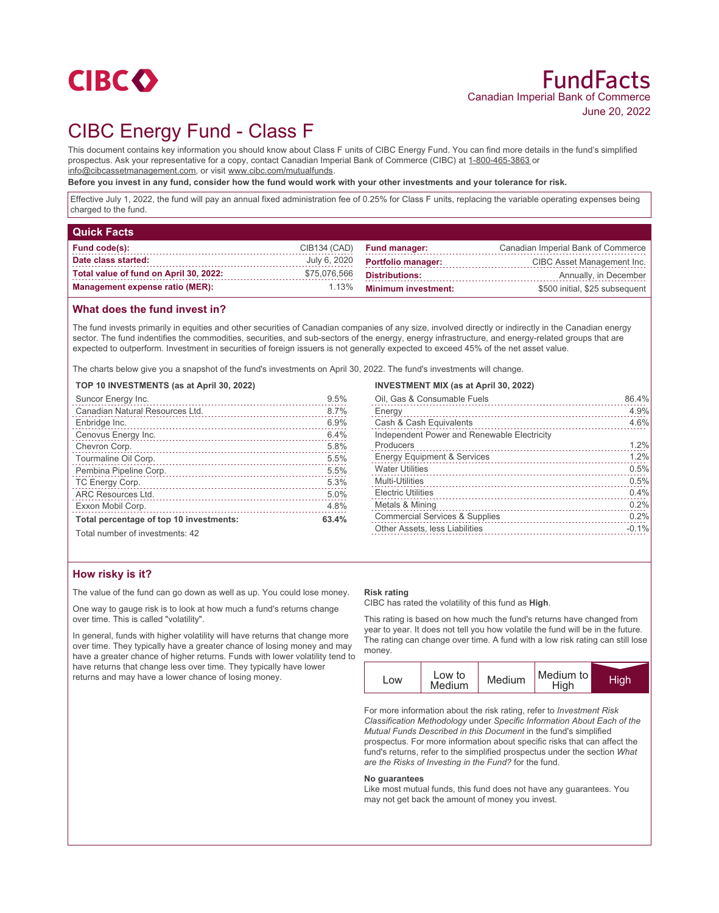

# CIBC Energy Fund - Class F

This document contains key information you should know about Class F units of CIBC Energy Fund. You can find more details in the fund's simplified prospectus. Ask your representative for a copy, contact Canadian Imperial Bank of Commerce (CIBC) at 1-800-465-3863 or info@cibcassetmanagement.com, or visit www.cibc.com/mutualfunds.

**Before you invest in any fund, consider how the fund would work with your other investments and your tolerance for risk.**

Effective July 1, 2022, the fund will pay an annual fixed administration fee of 0.25% for Class F units, replacing the variable operating expenses being charged to the fund.

| <b>Quick Facts</b>                     |              |                            |                                    |
|----------------------------------------|--------------|----------------------------|------------------------------------|
| <b>Fund code(s):</b>                   | CIB134 (CAD) | <b>Fund manager:</b>       | Canadian Imperial Bank of Commerce |
| Date class started:                    | July 6, 2020 | <b>Portfolio manager:</b>  | CIBC Asset Management Inc.         |
| Total value of fund on April 30, 2022: | \$75,076,566 | <b>Distributions:</b>      | Annually, in December              |
| <b>Management expense ratio (MER):</b> | 1.13%        | <b>Minimum investment:</b> | \$500 initial, \$25 subsequent     |

### **What does the fund invest in?**

The fund invests primarily in equities and other securities of Canadian companies of any size, involved directly or indirectly in the Canadian energy sector. The fund indentifies the commodities, securities, and sub-sectors of the energy, energy infrastructure, and energy-related groups that are expected to outperform. Investment in securities of foreign issuers is not generally expected to exceed 45% of the net asset value.

The charts below give you a snapshot of the fund's investments on April 30, 2022. The fund's investments will change.

#### **TOP 10 INVESTMENTS (as at April 30, 2022)**

| Suncor Energy Inc.                      | 9.5%  |
|-----------------------------------------|-------|
| Canadian Natural Resources Ltd.         | 8.7%  |
| Enbridge Inc.                           | 6.9%  |
| Cenovus Energy Inc.                     | 6.4%  |
| Chevron Corp.                           | 5.8%  |
| Tourmaline Oil Corp.                    | 5.5%  |
| Pembina Pipeline Corp.                  | 5.5%  |
| TC Energy Corp.                         | 5.3%  |
| <b>ARC Resources Ltd.</b>               | 5.0%  |
| Exxon Mobil Corp.                       | 4.8%  |
| Total percentage of top 10 investments: | 63.4% |

#### **INVESTMENT MIX (as at April 30, 2022)**

| Oil, Gas & Consumable Fuels                 | 86.4%   |
|---------------------------------------------|---------|
| Energy                                      | 4.9%    |
| Cash & Cash Equivalents                     | 4.6%    |
| Independent Power and Renewable Electricity |         |
| Producers                                   | 1.2%    |
| <b>Energy Equipment &amp; Services</b>      | 1.2%    |
| <b>Water Utilities</b>                      | 0.5%    |
| <b>Multi-Utilities</b>                      | 0.5%    |
| <b>Electric Utilities</b>                   | 0.4%    |
| Metals & Mining                             | 0.2%    |
| <b>Commercial Services &amp; Supplies</b>   | 0.2%    |
| Other Assets, less Liabilities              | $-0.1%$ |
|                                             |         |

Total number of investments: 42

## **How risky is it?**

The value of the fund can go down as well as up. You could lose money.

One way to gauge risk is to look at how much a fund's returns change over time. This is called "volatility".

In general, funds with higher volatility will have returns that change more over time. They typically have a greater chance of losing money and may have a greater chance of higher returns. Funds with lower volatility tend to have returns that change less over time. They typically have lower returns and may have a lower chance of losing money.

#### **Risk rating**

CIBC has rated the volatility of this fund as **High**.

This rating is based on how much the fund's returns have changed from year to year. It does not tell you how volatile the fund will be in the future. The rating can change over time. A fund with a low risk rating can still lose money.

| LOW | Low to<br>Medium | Medium | Medium to<br>High | <b>High</b> |
|-----|------------------|--------|-------------------|-------------|
|-----|------------------|--------|-------------------|-------------|

For more information about the risk rating, refer to *Investment Risk Classification Methodology* under *Specific Information About Each of the Mutual Funds Described in this Document* in the fund's simplified prospectus. For more information about specific risks that can affect the fund's returns, refer to the simplified prospectus under the section *What are the Risks of Investing in the Fund?* for the fund.

#### **No guarantees**

Like most mutual funds, this fund does not have any guarantees. You may not get back the amount of money you invest.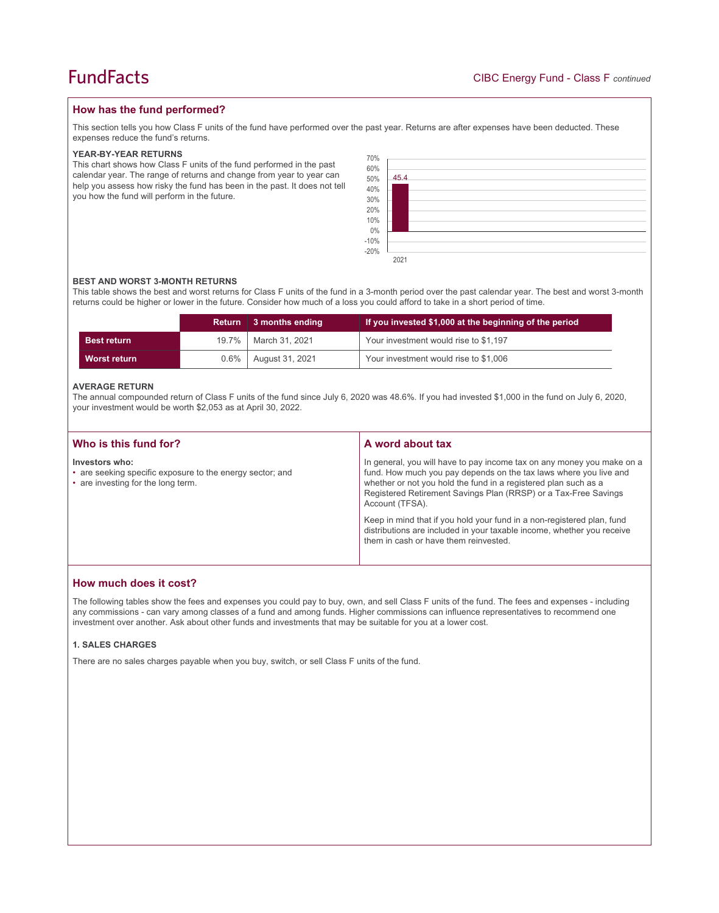## **How has the fund performed?**

This section tells you how Class F units of the fund have performed over the past year. Returns are after expenses have been deducted. These expenses reduce the fund's returns.

#### **YEAR-BY-YEAR RETURNS**

This chart shows how Class F units of the fund performed in the past calendar year. The range of returns and change from year to year can help you assess how risky the fund has been in the past. It does not tell you how the fund will perform in the future.

| 70%<br>60%<br>50%<br>40%<br>30%<br>20%<br>$\frac{10\%}{0\%}$ | 45.4 |
|--------------------------------------------------------------|------|
| $-10\%$<br>$-20\%$                                           |      |
|                                                              | 2021 |

#### **BEST AND WORST 3-MONTH RETURNS**

This table shows the best and worst returns for Class F units of the fund in a 3-month period over the past calendar year. The best and worst 3-month returns could be higher or lower in the future. Consider how much of a loss you could afford to take in a short period of time.

|                    | <b>Return</b> | 3 months ending  | If you invested \$1,000 at the beginning of the period |  |
|--------------------|---------------|------------------|--------------------------------------------------------|--|
| <b>Best return</b> | $19.7\%$      | │ March 31. 2021 | Your investment would rise to \$1,197                  |  |
| Worst return       | $0.6\%$       | August 31, 2021  | Your investment would rise to \$1,006                  |  |

#### **AVERAGE RETURN**

The annual compounded return of Class F units of the fund since July 6, 2020 was 48.6%. If you had invested \$1,000 in the fund on July 6, 2020, your investment would be worth \$2,053 as at April 30, 2022.

| Who is this fund for?                                                                                             | A word about tax                                                                                                                                                                                                                                                                                     |  |
|-------------------------------------------------------------------------------------------------------------------|------------------------------------------------------------------------------------------------------------------------------------------------------------------------------------------------------------------------------------------------------------------------------------------------------|--|
| Investors who:<br>• are seeking specific exposure to the energy sector; and<br>• are investing for the long term. | In general, you will have to pay income tax on any money you make on a<br>fund. How much you pay depends on the tax laws where you live and<br>whether or not you hold the fund in a registered plan such as a<br>Registered Retirement Savings Plan (RRSP) or a Tax-Free Savings<br>Account (TFSA). |  |
|                                                                                                                   | Keep in mind that if you hold your fund in a non-registered plan, fund<br>distributions are included in your taxable income, whether you receive<br>them in cash or have them reinvested.                                                                                                            |  |

## **How much does it cost?**

The following tables show the fees and expenses you could pay to buy, own, and sell Class F units of the fund. The fees and expenses - including any commissions - can vary among classes of a fund and among funds. Higher commissions can influence representatives to recommend one investment over another. Ask about other funds and investments that may be suitable for you at a lower cost.

#### **1. SALES CHARGES**

There are no sales charges payable when you buy, switch, or sell Class F units of the fund.